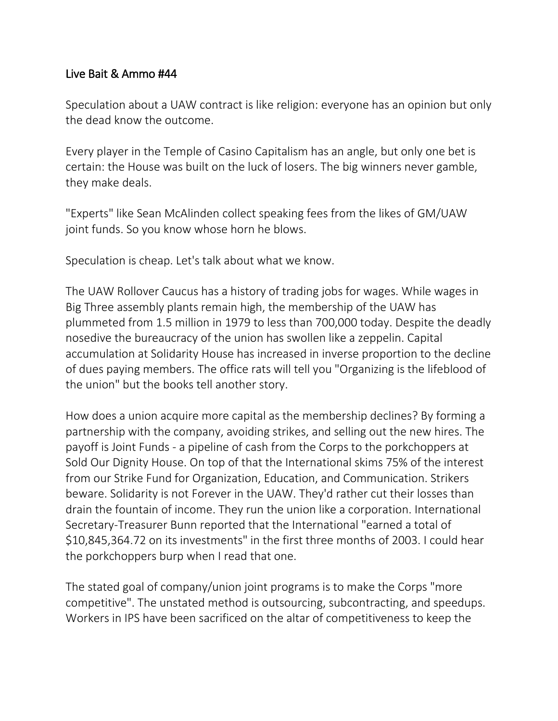### Live Bait & Ammo #44

Speculation about a UAW contract is like religion: everyone has an opinion but only the dead know the outcome.

Every player in the Temple of Casino Capitalism has an angle, but only one bet is certain: the House was built on the luck of losers. The big winners never gamble, they make deals.

"Experts" like Sean McAlinden collect speaking fees from the likes of GM/UAW joint funds. So you know whose horn he blows.

Speculation is cheap. Let's talk about what we know.

The UAW Rollover Caucus has a history of trading jobs for wages. While wages in Big Three assembly plants remain high, the membership of the UAW has plummeted from 1.5 million in 1979 to less than 700,000 today. Despite the deadly nosedive the bureaucracy of the union has swollen like a zeppelin. Capital accumulation at Solidarity House has increased in inverse proportion to the decline of dues paying members. The office rats will tell you "Organizing is the lifeblood of the union" but the books tell another story.

How does a union acquire more capital as the membership declines? By forming a partnership with the company, avoiding strikes, and selling out the new hires. The payoff is Joint Funds - a pipeline of cash from the Corps to the porkchoppers at Sold Our Dignity House. On top of that the International skims 75% of the interest from our Strike Fund for Organization, Education, and Communication. Strikers beware. Solidarity is not Forever in the UAW. They'd rather cut their losses than drain the fountain of income. They run the union like a corporation. International Secretary-Treasurer Bunn reported that the International "earned a total of \$10,845,364.72 on its investments" in the first three months of 2003. I could hear the porkchoppers burp when I read that one.

The stated goal of company/union joint programs is to make the Corps "more competitive". The unstated method is outsourcing, subcontracting, and speedups. Workers in IPS have been sacrificed on the altar of competitiveness to keep the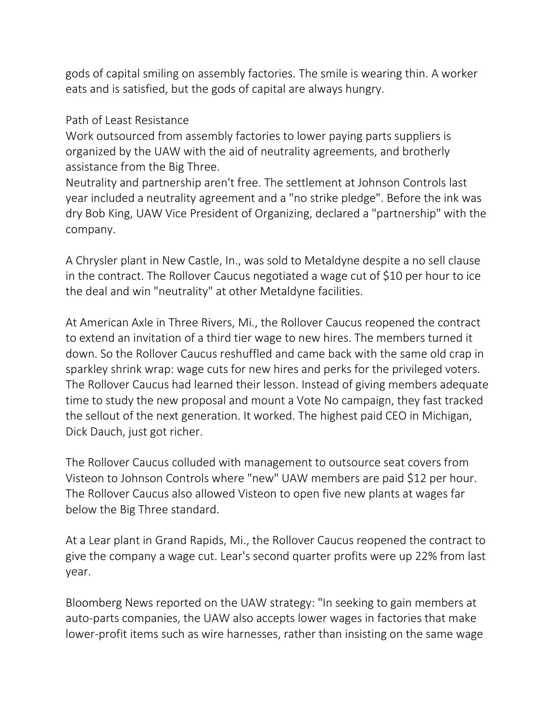gods of capital smiling on assembly factories. The smile is wearing thin. A worker eats and is satisfied, but the gods of capital are always hungry.

Path of Least Resistance

Work outsourced from assembly factories to lower paying parts suppliers is organized by the UAW with the aid of neutrality agreements, and brotherly assistance from the Big Three.

Neutrality and partnership aren't free. The settlement at Johnson Controls last year included a neutrality agreement and a "no strike pledge". Before the ink was dry Bob King, UAW Vice President of Organizing, declared a "partnership" with the company.

A Chrysler plant in New Castle, In., was sold to Metaldyne despite a no sell clause in the contract. The Rollover Caucus negotiated a wage cut of \$10 per hour to ice the deal and win "neutrality" at other Metaldyne facilities.

At American Axle in Three Rivers, Mi., the Rollover Caucus reopened the contract to extend an invitation of a third tier wage to new hires. The members turned it down. So the Rollover Caucus reshuffled and came back with the same old crap in sparkley shrink wrap: wage cuts for new hires and perks for the privileged voters. The Rollover Caucus had learned their lesson. Instead of giving members adequate time to study the new proposal and mount a Vote No campaign, they fast tracked the sellout of the next generation. It worked. The highest paid CEO in Michigan, Dick Dauch, just got richer.

The Rollover Caucus colluded with management to outsource seat covers from Visteon to Johnson Controls where "new" UAW members are paid \$12 per hour. The Rollover Caucus also allowed Visteon to open five new plants at wages far below the Big Three standard.

At a Lear plant in Grand Rapids, Mi., the Rollover Caucus reopened the contract to give the company a wage cut. Lear's second quarter profits were up 22% from last year.

Bloomberg News reported on the UAW strategy: "In seeking to gain members at auto-parts companies, the UAW also accepts lower wages in factories that make lower-profit items such as wire harnesses, rather than insisting on the same wage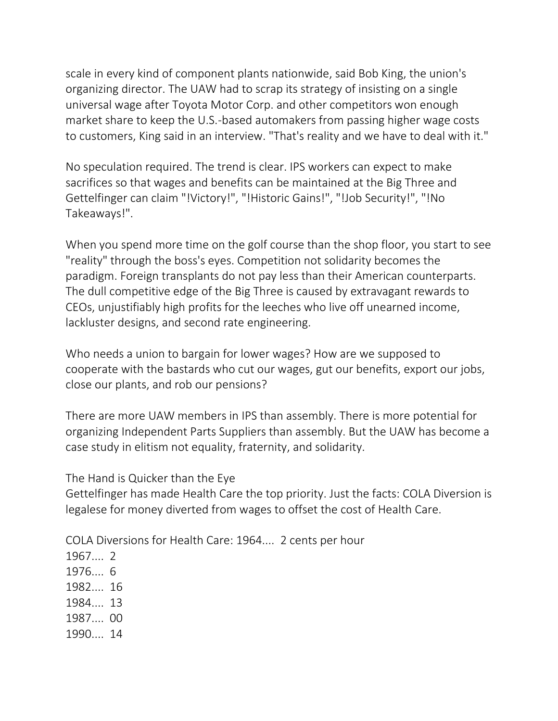scale in every kind of component plants nationwide, said Bob King, the union's organizing director. The UAW had to scrap its strategy of insisting on a single universal wage after Toyota Motor Corp. and other competitors won enough market share to keep the U.S.-based automakers from passing higher wage costs to customers, King said in an interview. "That's reality and we have to deal with it."

No speculation required. The trend is clear. IPS workers can expect to make sacrifices so that wages and benefits can be maintained at the Big Three and Gettelfinger can claim "!Victory!", "!Historic Gains!", "!Job Security!", "!No Takeaways!".

When you spend more time on the golf course than the shop floor, you start to see "reality" through the boss's eyes. Competition not solidarity becomes the paradigm. Foreign transplants do not pay less than their American counterparts. The dull competitive edge of the Big Three is caused by extravagant rewards to CEOs, unjustifiably high profits for the leeches who live off unearned income, lackluster designs, and second rate engineering.

Who needs a union to bargain for lower wages? How are we supposed to cooperate with the bastards who cut our wages, gut our benefits, export our jobs, close our plants, and rob our pensions?

There are more UAW members in IPS than assembly. There is more potential for organizing Independent Parts Suppliers than assembly. But the UAW has become a case study in elitism not equality, fraternity, and solidarity.

The Hand is Quicker than the Eye

Gettelfinger has made Health Care the top priority. Just the facts: COLA Diversion is legalese for money diverted from wages to offset the cost of Health Care.

COLA Diversions for Health Care: 1964.... 2 cents per hour

1967.... 2 1976.... 6 1982.... 16 1984.... 13 1987.... 00 1990.... 14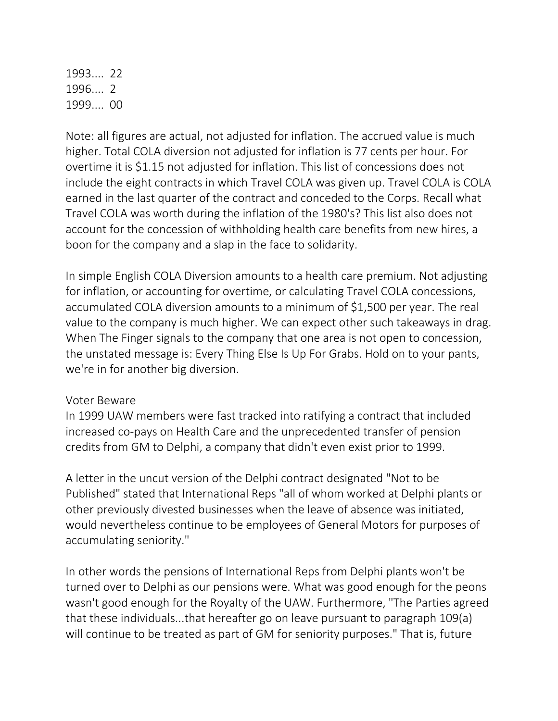1993.... 22 1996.... 2 1999.... 00

Note: all figures are actual, not adjusted for inflation. The accrued value is much higher. Total COLA diversion not adjusted for inflation is 77 cents per hour. For overtime it is \$1.15 not adjusted for inflation. This list of concessions does not include the eight contracts in which Travel COLA was given up. Travel COLA is COLA earned in the last quarter of the contract and conceded to the Corps. Recall what Travel COLA was worth during the inflation of the 1980's? This list also does not account for the concession of withholding health care benefits from new hires, a boon for the company and a slap in the face to solidarity.

In simple English COLA Diversion amounts to a health care premium. Not adjusting for inflation, or accounting for overtime, or calculating Travel COLA concessions, accumulated COLA diversion amounts to a minimum of \$1,500 per year. The real value to the company is much higher. We can expect other such takeaways in drag. When The Finger signals to the company that one area is not open to concession, the unstated message is: Every Thing Else Is Up For Grabs. Hold on to your pants, we're in for another big diversion.

#### Voter Beware

In 1999 UAW members were fast tracked into ratifying a contract that included increased co-pays on Health Care and the unprecedented transfer of pension credits from GM to Delphi, a company that didn't even exist prior to 1999.

A letter in the uncut version of the Delphi contract designated "Not to be Published" stated that International Reps "all of whom worked at Delphi plants or other previously divested businesses when the leave of absence was initiated, would nevertheless continue to be employees of General Motors for purposes of accumulating seniority."

In other words the pensions of International Reps from Delphi plants won't be turned over to Delphi as our pensions were. What was good enough for the peons wasn't good enough for the Royalty of the UAW. Furthermore, "The Parties agreed that these individuals...that hereafter go on leave pursuant to paragraph 109(a) will continue to be treated as part of GM for seniority purposes." That is, future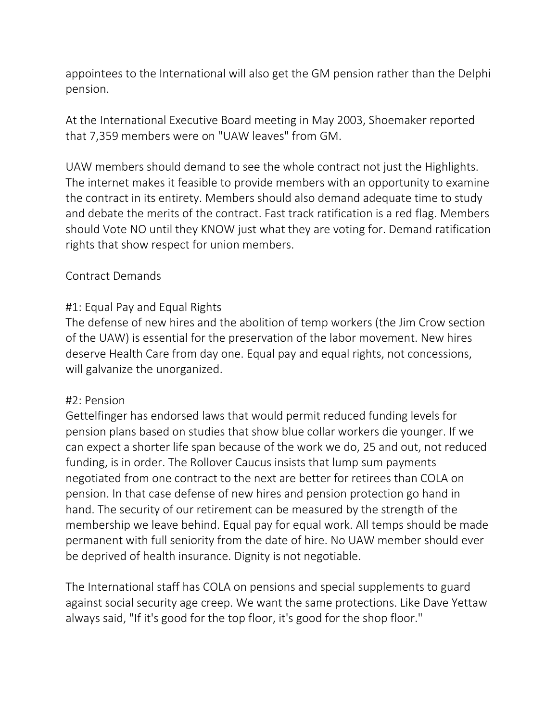appointees to the International will also get the GM pension rather than the Delphi pension.

At the International Executive Board meeting in May 2003, Shoemaker reported that 7,359 members were on "UAW leaves" from GM.

UAW members should demand to see the whole contract not just the Highlights. The internet makes it feasible to provide members with an opportunity to examine the contract in its entirety. Members should also demand adequate time to study and debate the merits of the contract. Fast track ratification is a red flag. Members should Vote NO until they KNOW just what they are voting for. Demand ratification rights that show respect for union members.

### Contract Demands

# #1: Equal Pay and Equal Rights

The defense of new hires and the abolition of temp workers (the Jim Crow section of the UAW) is essential for the preservation of the labor movement. New hires deserve Health Care from day one. Equal pay and equal rights, not concessions, will galvanize the unorganized.

### #2: Pension

Gettelfinger has endorsed laws that would permit reduced funding levels for pension plans based on studies that show blue collar workers die younger. If we can expect a shorter life span because of the work we do, 25 and out, not reduced funding, is in order. The Rollover Caucus insists that lump sum payments negotiated from one contract to the next are better for retirees than COLA on pension. In that case defense of new hires and pension protection go hand in hand. The security of our retirement can be measured by the strength of the membership we leave behind. Equal pay for equal work. All temps should be made permanent with full seniority from the date of hire. No UAW member should ever be deprived of health insurance. Dignity is not negotiable.

The International staff has COLA on pensions and special supplements to guard against social security age creep. We want the same protections. Like Dave Yettaw always said, "If it's good for the top floor, it's good for the shop floor."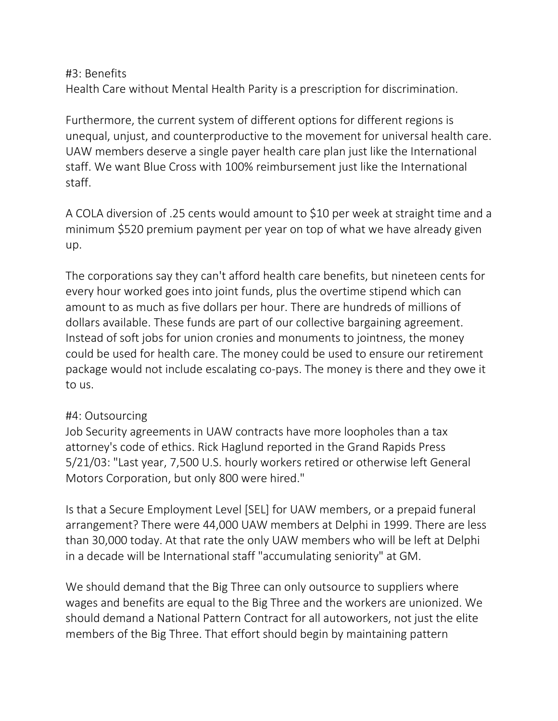#### #3: Benefits

Health Care without Mental Health Parity is a prescription for discrimination.

Furthermore, the current system of different options for different regions is unequal, unjust, and counterproductive to the movement for universal health care. UAW members deserve a single payer health care plan just like the International staff. We want Blue Cross with 100% reimbursement just like the International staff.

A COLA diversion of .25 cents would amount to \$10 per week at straight time and a minimum \$520 premium payment per year on top of what we have already given up.

The corporations say they can't afford health care benefits, but nineteen cents for every hour worked goes into joint funds, plus the overtime stipend which can amount to as much as five dollars per hour. There are hundreds of millions of dollars available. These funds are part of our collective bargaining agreement. Instead of soft jobs for union cronies and monuments to jointness, the money could be used for health care. The money could be used to ensure our retirement package would not include escalating co-pays. The money is there and they owe it to us.

### #4: Outsourcing

Job Security agreements in UAW contracts have more loopholes than a tax attorney's code of ethics. Rick Haglund reported in the Grand Rapids Press 5/21/03: "Last year, 7,500 U.S. hourly workers retired or otherwise left General Motors Corporation, but only 800 were hired."

Is that a Secure Employment Level [SEL] for UAW members, or a prepaid funeral arrangement? There were 44,000 UAW members at Delphi in 1999. There are less than 30,000 today. At that rate the only UAW members who will be left at Delphi in a decade will be International staff "accumulating seniority" at GM.

We should demand that the Big Three can only outsource to suppliers where wages and benefits are equal to the Big Three and the workers are unionized. We should demand a National Pattern Contract for all autoworkers, not just the elite members of the Big Three. That effort should begin by maintaining pattern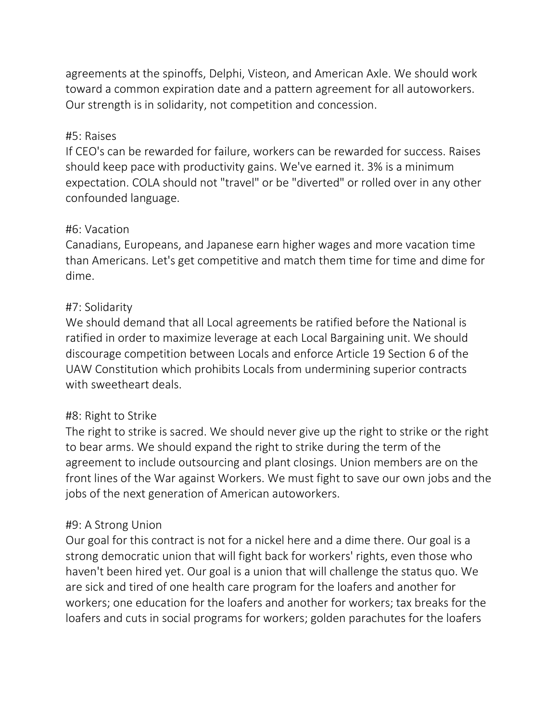agreements at the spinoffs, Delphi, Visteon, and American Axle. We should work toward a common expiration date and a pattern agreement for all autoworkers. Our strength is in solidarity, not competition and concession.

### #5: Raises

If CEO's can be rewarded for failure, workers can be rewarded for success. Raises should keep pace with productivity gains. We've earned it. 3% is a minimum expectation. COLA should not "travel" or be "diverted" or rolled over in any other confounded language.

### #6: Vacation

Canadians, Europeans, and Japanese earn higher wages and more vacation time than Americans. Let's get competitive and match them time for time and dime for dime.

# #7: Solidarity

We should demand that all Local agreements be ratified before the National is ratified in order to maximize leverage at each Local Bargaining unit. We should discourage competition between Locals and enforce Article 19 Section 6 of the UAW Constitution which prohibits Locals from undermining superior contracts with sweetheart deals.

# #8: Right to Strike

The right to strike is sacred. We should never give up the right to strike or the right to bear arms. We should expand the right to strike during the term of the agreement to include outsourcing and plant closings. Union members are on the front lines of the War against Workers. We must fight to save our own jobs and the jobs of the next generation of American autoworkers.

# #9: A Strong Union

Our goal for this contract is not for a nickel here and a dime there. Our goal is a strong democratic union that will fight back for workers' rights, even those who haven't been hired yet. Our goal is a union that will challenge the status quo. We are sick and tired of one health care program for the loafers and another for workers; one education for the loafers and another for workers; tax breaks for the loafers and cuts in social programs for workers; golden parachutes for the loafers